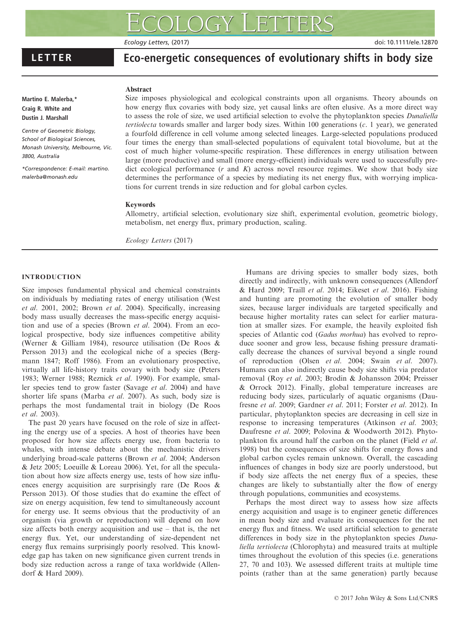# Y I FTTE

Ecology Letters, (2017) doi: 10.1111/ele.12870

## LETTER Eco-energetic consequences of evolutionary shifts in body size

#### Abstract

Martino E. Malerba,\* Craig R. White and Dustin J. Marshall

Centre of Geometric Biology, School of Biological Sciences, Monash University, Melbourne, Vic. 3800, Australia

\*Correspondence: E-mail: martino. malerba@monash.edu

Size imposes physiological and ecological constraints upon all organisms. Theory abounds on how energy flux covaries with body size, yet causal links are often elusive. As a more direct way to assess the role of size, we used artificial selection to evolve the phytoplankton species Dunaliella tertiolecta towards smaller and larger body sizes. Within 100 generations  $(c, 1, \text{year})$ , we generated a fourfold difference in cell volume among selected lineages. Large-selected populations produced four times the energy than small-selected populations of equivalent total biovolume, but at the cost of much higher volume-specific respiration. These differences in energy utilisation between large (more productive) and small (more energy-efficient) individuals were used to successfully predict ecological performance  $(r$  and  $K)$  across novel resource regimes. We show that body size determines the performance of a species by mediating its net energy flux, with worrying implications for current trends in size reduction and for global carbon cycles.

#### Keywords

Allometry, artificial selection, evolutionary size shift, experimental evolution, geometric biology, metabolism, net energy flux, primary production, scaling.

Ecology Letters (2017)

### INTRODUCTION

Size imposes fundamental physical and chemical constraints on individuals by mediating rates of energy utilisation (West et al. 2001, 2002; Brown et al. 2004). Specifically, increasing body mass usually decreases the mass-specific energy acquisition and use of a species (Brown et al. 2004). From an ecological prospective, body size influences competitive ability (Werner & Gilliam 1984), resource utilisation (De Roos & Persson 2013) and the ecological niche of a species (Bergmann 1847; Roff 1986). From an evolutionary prospective, virtually all life-history traits covary with body size (Peters 1983; Werner 1988; Reznick et al. 1990). For example, smaller species tend to grow faster (Savage et al. 2004) and have shorter life spans (Marba et al. 2007). As such, body size is perhaps the most fundamental trait in biology (De Roos et al. 2003).

The past 20 years have focused on the role of size in affecting the energy use of a species. A host of theories have been proposed for how size affects energy use, from bacteria to whales, with intense debate about the mechanistic drivers underlying broad-scale patterns (Brown et al. 2004; Anderson & Jetz 2005; Loeuille & Loreau 2006). Yet, for all the speculation about how size affects energy use, tests of how size influences energy acquisition are surprisingly rare (De Roos & Persson 2013). Of those studies that do examine the effect of size on energy acquisition, few tend to simultaneously account for energy use. It seems obvious that the productivity of an organism (via growth or reproduction) will depend on how size affects both energy acquisition and use – that is, the net energy flux. Yet, our understanding of size-dependent net energy flux remains surprisingly poorly resolved. This knowledge gap has taken on new significance given current trends in body size reduction across a range of taxa worldwide (Allendorf & Hard 2009).

Humans are driving species to smaller body sizes, both directly and indirectly, with unknown consequences (Allendorf  $& Hard 2009$ ; Traill et al. 2014; Eikeset et al. 2016). Fishing and hunting are promoting the evolution of smaller body sizes, because larger individuals are targeted specifically and because higher mortality rates can select for earlier maturation at smaller sizes. For example, the heavily exploited fish species of Atlantic cod (Gadus morhua) has evolved to reproduce sooner and grow less, because fishing pressure dramatically decrease the chances of survival beyond a single round of reproduction (Olsen et al. 2004; Swain et al. 2007). Humans can also indirectly cause body size shifts via predator removal (Roy et al. 2003; Brodin & Johansson 2004; Preisser & Orrock 2012). Finally, global temperature increases are reducing body sizes, particularly of aquatic organisms (Daufresne et al. 2009; Gardner et al. 2011; Forster et al. 2012). In particular, phytoplankton species are decreasing in cell size in response to increasing temperatures (Atkinson et al. 2003; Daufresne et al. 2009; Polovina & Woodworth 2012). Phytoplankton fix around half the carbon on the planet (Field et al. 1998) but the consequences of size shifts for energy flows and global carbon cycles remain unknown. Overall, the cascading influences of changes in body size are poorly understood, but if body size affects the net energy flux of a species, these changes are likely to substantially alter the flow of energy through populations, communities and ecosystems.

Perhaps the most direct way to assess how size affects energy acquisition and usage is to engineer genetic differences in mean body size and evaluate its consequences for the net energy flux and fitness. We used artificial selection to generate differences in body size in the phytoplankton species Dunaliella tertiolecta (Chlorophyta) and measured traits at multiple times throughout the evolution of this species (i.e. generations 27, 70 and 103). We assessed different traits at multiple time points (rather than at the same generation) partly because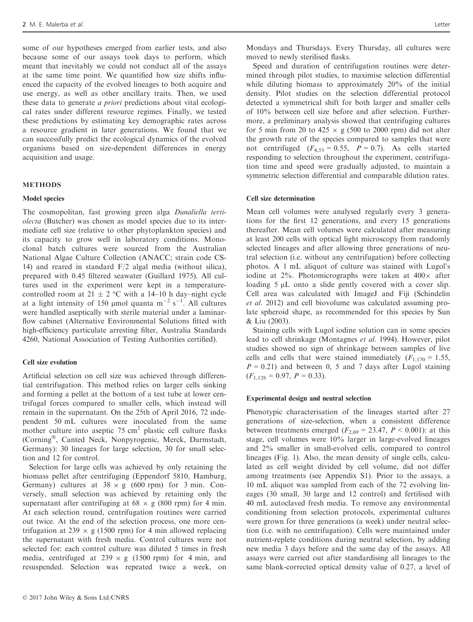some of our hypotheses emerged from earlier tests, and also because some of our assays took days to perform, which meant that inevitably we could not conduct all of the assays at the same time point. We quantified how size shifts influenced the capacity of the evolved lineages to both acquire and use energy, as well as other ancillary traits. Then, we used these data to generate a priori predictions about vital ecological rates under different resource regimes. Finally, we tested these predictions by estimating key demographic rates across a resource gradient in later generations. We found that we can successfully predict the ecological dynamics of the evolved organisms based on size-dependent differences in energy acquisition and usage.

#### **METHODS**

#### Model species

The cosmopolitan, fast growing green alga Dunaliella tertiolecta (Butcher) was chosen as model species due to its intermediate cell size (relative to other phytoplankton species) and its capacity to grow well in laboratory conditions. Monoclonal batch cultures were sourced from the Australian National Algae Culture Collection (ANACC; strain code CS-14) and reared in standard F/2 algal media (without silica), prepared with 0.45 filtered seawater (Guillard 1975). All cultures used in the experiment were kept in a temperaturecontrolled room at  $21 \pm 2$  °C with a 14–10 h day–night cycle at a light intensity of 150 µmol quanta  $m^{-2} s^{-1}$ . All cultures were handled aseptically with sterile material under a laminarflow cabinet (Alternative Environmental Solutions fitted with high-efficiency particulate arresting filter, Australia Standards 4260, National Association of Testing Authorities certified).

#### Cell size evolution

Artificial selection on cell size was achieved through differential centrifugation. This method relies on larger cells sinking and forming a pellet at the bottom of a test tube at lower centrifugal forces compared to smaller cells, which instead will remain in the supernatant. On the 25th of April 2016, 72 independent 50 mL cultures were inoculated from the same mother culture into aseptic  $75 \text{ cm}^2$  plastic cell culture flasks (Corning®, Canted Neck, Nonpyrogenic, Merck, Darmstadt, Germany): 30 lineages for large selection, 30 for small selection and 12 for control.

Selection for large cells was achieved by only retaining the biomass pellet after centrifuging (Eppendorf 5810, Hamburg, Germany) cultures at  $38 \times g$  (600 rpm) for 3 min. Conversely, small selection was achieved by retaining only the supernatant after centrifuging at  $68 \times g$  (800 rpm) for 4 min. At each selection round, centrifugation routines were carried out twice. At the end of the selection process, one more centrifugation at 239  $\times$  g (1500 rpm) for 4 min allowed replacing the supernatant with fresh media. Control cultures were not selected for: each control culture was diluted 5 times in fresh media, centrifuged at  $239 \times g$  (1500 rpm) for 4 min, and resuspended. Selection was repeated twice a week, on

Mondays and Thursdays. Every Thursday, all cultures were moved to newly sterilised flasks.

Speed and duration of centrifugation routines were determined through pilot studies, to maximise selection differential while diluting biomass to approximately 20% of the initial density. Pilot studies on the selection differential protocol detected a symmetrical shift for both larger and smaller cells of 10% between cell size before and after selection. Furthermore, a preliminary analysis showed that centrifuging cultures for 5 min from 20 to 425  $\times$  g (500 to 2000 rpm) did not alter the growth rate of the species compared to samples that were not centrifuged  $(F_{4,53} = 0.55, P = 0.7)$ . As cells started responding to selection throughout the experiment, centrifugation time and speed were gradually adjusted, to maintain a symmetric selection differential and comparable dilution rates.

#### Cell size determination

Mean cell volumes were analysed regularly every 3 generations for the first 12 generations, and every 15 generations thereafter. Mean cell volumes were calculated after measuring at least 200 cells with optical light microscopy from randomly selected lineages and after allowing three generations of neutral selection (i.e. without any centrifugation) before collecting photos. A 1 mL aliquot of culture was stained with Lugol's iodine at  $2\%$ . Photomicrographs were taken at  $400\times$  after loading 5 µL onto a slide gently covered with a cover slip. Cell area was calculated with ImageJ and Fiji (Schindelin et al. 2012) and cell biovolume was calculated assuming prolate spheroid shape, as recommended for this species by Sun & Liu (2003).

Staining cells with Lugol iodine solution can in some species lead to cell shrinkage (Montagnes et al. 1994). However, pilot studies showed no sign of shrinkage between samples of live cells and cells that were stained immediately  $(F_{1,170} = 1.55,$  $P = 0.21$ ) and between 0, 5 and 7 days after Lugol staining  $(F<sub>1.128</sub> = 0.97, P = 0.33).$ 

#### Experimental design and neutral selection

Phenotypic characterisation of the lineages started after 27 generations of size-selection, when a consistent difference between treatments emerged ( $F_{2,69} = 23.47$ ,  $P < 0.001$ ): at this stage, cell volumes were 10% larger in large-evolved lineages and 2% smaller in small-evolved cells, compared to control lineages (Fig. 1). Also, the mean density of single cells, calculated as cell weight divided by cell volume, did not differ among treatments (see Appendix S1). Prior to the assays, a 10 mL aliquot was sampled from each of the 72 evolving lineages (30 small, 30 large and 12 control) and fertilised with 40 mL autoclaved fresh media. To remove any environmental conditioning from selection protocols, experimental cultures were grown for three generations (a week) under neutral selection (i.e. with no centrifugation). Cells were maintained under nutrient-replete conditions during neutral selection, by adding new media 3 days before and the same day of the assays. All assays were carried out after standardising all lineages to the same blank-corrected optical density value of 0.27, a level of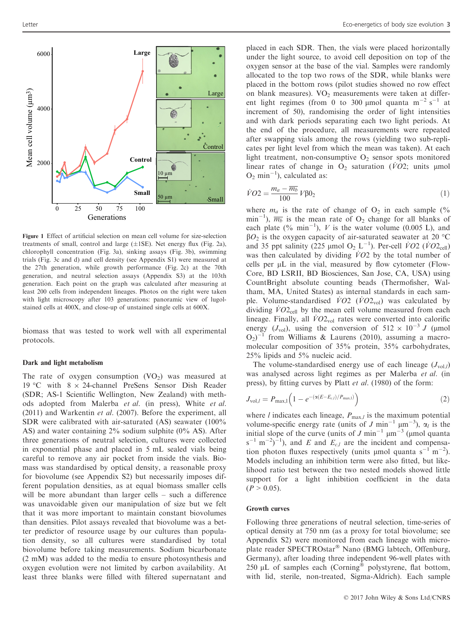

Figure 1 Effect of artificial selection on mean cell volume for size-selection treatments of small, control and large  $(\pm 1SE)$ . Net energy flux (Fig. 2a), chlorophyll concentration (Fig. 3a), sinking assays (Fig. 3b), swimming trials (Fig. 3c and d) and cell density (see Appendix S1) were measured at the 27th generation, while growth performance (Fig. 2c) at the 70th generation, and neutral selection assays (Appendix S3) at the 103th generation. Each point on the graph was calculated after measuring at least 200 cells from independent lineages. Photos on the right were taken with light microscopy after 103 generations: panoramic view of lugolstained cells at 400X, and close-up of unstained single cells at 600X.

biomass that was tested to work well with all experimental protocols.

#### Dark and light metabolism

The rate of oxygen consumption  $(VO<sub>2</sub>)$  was measured at 19 °C with  $8 \times 24$ -channel PreSens Sensor Dish Reader (SDR; AS-1 Scientific Wellington, New Zealand) with methods adopted from Malerba et al. (in press), White et al. (2011) and Warkentin et al. (2007). Before the experiment, all SDR were calibrated with air-saturated (AS) seawater (100% AS) and water containing 2% sodium sulphite (0% AS). After three generations of neutral selection, cultures were collected in exponential phase and placed in 5 mL sealed vials being careful to remove any air pocket from inside the vials. Biomass was standardised by optical density, a reasonable proxy for biovolume (see Appendix S2) but necessarily imposes different population densities, as at equal biomass smaller cells will be more abundant than larger cells – such a difference was unavoidable given our manipulation of size but we felt that it was more important to maintain constant biovolumes than densities. Pilot assays revealed that biovolume was a better predictor of resource usage by our cultures than population density, so all cultures were standardised by total biovolume before taking measurements. Sodium bicarbonate (2 mM) was added to the media to ensure photosynthesis and oxygen evolution were not limited by carbon availability. At least three blanks were filled with filtered supernatant and placed in each SDR. Then, the vials were placed horizontally under the light source, to avoid cell deposition on top of the oxygen sensor at the base of the vial. Samples were randomly allocated to the top two rows of the SDR, while blanks were placed in the bottom rows (pilot studies showed no row effect on blank measures).  $VO<sub>2</sub>$  measurements were taken at different light regimes (from 0 to 300 µmol quanta  $m^{-2} s^{-1}$  at increment of 50), randomising the order of light intensities and with dark periods separating each two light periods. At the end of the procedure, all measurements were repeated after swapping vials among the rows (yielding two sub-replicates per light level from which the mean was taken). At each light treatment, non-consumptive  $O<sub>2</sub>$  sensor spots monitored linear rates of change in  $O_2$  saturation (VO2; units µmol  $O_2$  min<sup>-1</sup>), calculated as:

$$
\dot{V}O2 = \frac{m_a - \overline{m_b}}{100} V \beta 0_2 \tag{1}
$$

where  $m_a$  is the rate of change of  $O_2$  in each sample (%  $\min^{-1}$ ),  $\overline{m_b}$  is the mean rate of O<sub>2</sub> change for all blanks of each plate (%  $min^{-1}$ ), V is the water volume (0.005 L), and  $\beta O_2$  is the oxygen capacity of air-saturated seawater at 20 °C and 35 ppt salinity (225 µmol O<sub>2</sub> L<sup>-1</sup>). Per-cell  $\dot{V}O2$  ( $\dot{V}O2$ <sub>cell</sub>) was then calculated by dividing  $\dot{V}O2$  by the total number of cells per  $\mu$ L in the vial, measured by flow cytometer (Flow-Core, BD LSRII, BD Biosciences, San Jose, CA, USA) using CountBright absolute counting beads (Thermofisher, Waltham, MA, United States) as internal standards in each sample. Volume-standardised  $\dot{V}O2$  ( $\dot{V}O2_{\text{vol}}$ ) was calculated by dividing  $\dot{V}O2_{\text{cell}}$  by the mean cell volume measured from each lineage. Finally, all  $\dot{V}O2_{\text{vol}}$  rates were converted into calorific energy ( $J_{\text{vol}}$ ), using the conversion of 512  $\times$  10<sup>-3</sup> J (µmol  $O_2$ <sup>-1</sup> from Williams & Laurens (2010), assuming a macromolecular composition of 35% protein, 35% carbohydrates, 25% lipids and 5% nucleic acid.

The volume-standardised energy use of each lineage  $(J_{\text{vol},l})$ was analysed across light regimes as per Malerba et al. (in press), by fitting curves by Platt et al. (1980) of the form:

$$
J_{\text{vol},l} = P_{\text{max},l} \left( 1 - e^{-(\alpha (E - E_{c,l})/P_{\text{max},l})} \right) \tag{2}
$$

where *l* indicates each lineage,  $P_{\text{max},l}$  is the maximum potential volume-specific energy rate (units of J min<sup>-1</sup>  $\mu$ m<sup>-3</sup>),  $\alpha_l$  is the initial slope of the curve (units of  $J$  min<sup>-1</sup>  $\mu$ m<sup>-3</sup> ( $\mu$ mol quanta  $(s^{-1} \text{ m}^{-2})^{-1}$ ), and E and  $E_{c,l}$  are the incident and compensation photon fluxes respectively (units µmol quanta  $s^{-1}$  m<sup>-2</sup>). Models including an inhibition term were also fitted, but likelihood ratio test between the two nested models showed little support for a light inhibition coefficient in the data  $(P > 0.05)$ .

#### Growth curves

Following three generations of neutral selection, time-series of optical density at 750 nm (as a proxy for total biovolume; see Appendix S2) were monitored from each lineage with microplate reader SPECTROstar® Nano (BMG labtech, Offenburg, Germany), after loading three independent 96-well plates with  $250 \mu L$  of samples each (Corning<sup>®</sup> polystyrene, flat bottom, with lid, sterile, non-treated, Sigma-Aldrich). Each sample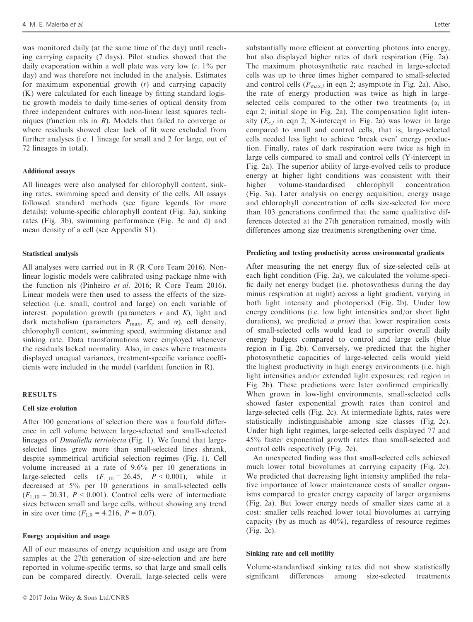was monitored daily (at the same time of the day) until reaching carrying capacity (7 days). Pilot studies showed that the daily evaporation within a well plate was very low  $(c. 1\%$  per day) and was therefore not included in the analysis. Estimates for maximum exponential growth  $(r)$  and carrying capacity (K) were calculated for each lineage by fitting standard logistic growth models to daily time-series of optical density from three independent cultures with non-linear least squares techniques (function nls in  $R$ ). Models that failed to converge or where residuals showed clear lack of fit were excluded from further analyses (i.e. 1 lineage for small and 2 for large, out of 72 lineages in total).

#### Additional assays

All lineages were also analysed for chlorophyll content, sinking rates, swimming speed and density of the cells. All assays followed standard methods (see figure legends for more details): volume-specific chlorophyll content (Fig. 3a), sinking rates (Fig. 3b), swimming performance (Fig. 3c and d) and mean density of a cell (see Appendix S1).

#### Statistical analysis

All analyses were carried out in R (R Core Team 2016). Nonlinear logistic models were calibrated using package nlme with the function nls (Pinheiro et al. 2016; R Core Team 2016). Linear models were then used to assess the effects of the sizeselection (i.e. small, control and large) on each variable of interest: population growth (parameters  $r$  and  $K$ ), light and dark metabolism (parameters  $P_{\text{max}}$ ,  $E_c$  and  $\alpha$ ), cell density, chlorophyll content, swimming speed, swimming distance and sinking rate. Data transformations were employed whenever the residuals lacked normality. Also, in cases where treatments displayed unequal variances, treatment-specific variance coefficients were included in the model (varIdent function in R).

#### RESULTS

#### Cell size evolution

After 100 generations of selection there was a fourfold difference in cell volume between large-selected and small-selected lineages of Dunaliella tertiolecta (Fig. 1). We found that largeselected lines grew more than small-selected lines shrank, despite symmetrical artificial selection regimes (Fig. 1). Cell volume increased at a rate of 9.6% per 10 generations in large-selected cells  $(F_{1,10} = 26.45, P < 0.001)$ , while it decreased at 5% per 10 generations in small-selected cells  $(F<sub>1,10</sub> = 20.31, P < 0.001)$ . Control cells were of intermediate sizes between small and large cells, without showing any trend in size over time  $(F_{1,9} = 4.216, P = 0.07)$ .

#### Energy acquisition and usage

All of our measures of energy acquisition and usage are from samples at the 27th generation of size-selection and are here reported in volume-specific terms, so that large and small cells can be compared directly. Overall, large-selected cells were substantially more efficient at converting photons into energy, but also displayed higher rates of dark respiration (Fig. 2a). The maximum photosynthetic rate reached in large-selected cells was up to three times higher compared to small-selected and control cells ( $P_{\text{max},l}$  in eqn 2; asymptote in Fig. 2a). Also, the rate of energy production was twice as high in largeselected cells compared to the other two treatments  $(\alpha_l)$  in eqn 2; initial slope in Fig. 2a). The compensation light intensity  $(E_{c,l}$  in eqn 2; X-intercept in Fig. 2a) was lower in large compared to small and control cells, that is, large-selected cells needed less light to achieve 'break even' energy production. Finally, rates of dark respiration were twice as high in large cells compared to small and control cells (Y-intercept in Fig. 2a). The superior ability of large-evolved cells to produce energy at higher light conditions was consistent with their higher volume-standardised chlorophyll concentration (Fig. 3a). Later analysis on energy acquisition, energy usage and chlorophyll concentration of cells size-selected for more than 103 generations confirmed that the same qualitative differences detected at the 27th generation remained, mostly with differences among size treatments strengthening over time.

#### Predicting and testing productivity across environmental gradients

After measuring the net energy flux of size-selected cells at each light condition (Fig. 2a), we calculated the volume-specific daily net energy budget (i.e. photosynthesis during the day minus respiration at night) across a light gradient, varying in both light intensity and photoperiod (Fig. 2b). Under low energy conditions (i.e. low light intensities and/or short light durations), we predicted *a priori* that lower respiration costs of small-selected cells would lead to superior overall daily energy budgets compared to control and large cells (blue region in Fig. 2b). Conversely, we predicted that the higher photosynthetic capacities of large-selected cells would yield the highest productivity in high energy environments (i.e. high light intensities and/or extended light exposures; red region in Fig. 2b). These predictions were later confirmed empirically. When grown in low-light environments, small-selected cells showed faster exponential growth rates than control and large-selected cells (Fig. 2c). At intermediate lights, rates were statistically indistinguishable among size classes (Fig. 2c). Under high light regimes, large-selected cells displayed 77 and 45% faster exponential growth rates than small-selected and control cells respectively (Fig. 2c).

An unexpected finding was that small-selected cells achieved much lower total biovolumes at carrying capacity (Fig. 2c). We predicted that decreasing light intensity amplified the relative importance of lower maintenance costs of smaller organisms compared to greater energy capacity of larger organisms (Fig. 2a). But lower energy needs of smaller sizes came at a cost: smaller cells reached lower total biovolumes at carrying capacity (by as much as 40%), regardless of resource regimes (Fig. 2c).

#### Sinking rate and cell motility

Volume-standardised sinking rates did not show statistically significant differences among size-selected treatments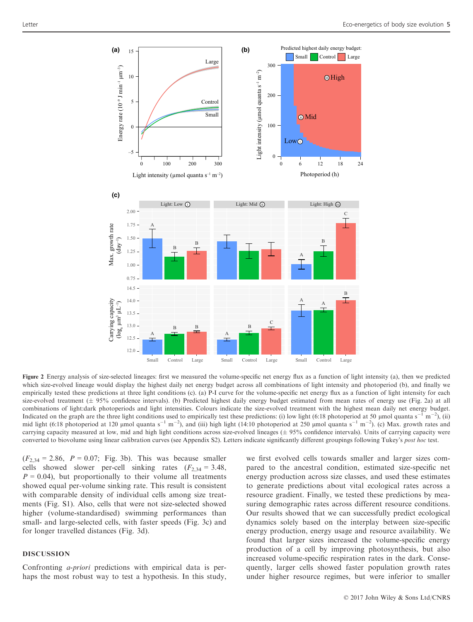

Figure 2 Energy analysis of size-selected lineages: first we measured the volume-specific net energy flux as a function of light intensity (a), then we predicted which size-evolved lineage would display the highest daily net energy budget across all combinations of light intensity and photoperiod (b), and finally we empirically tested these predictions at three light conditions (c). (a) P-I curve for the volume-specific net energy flux as a function of light intensity for each size-evolved treatment  $( \pm 95\%$  confidence intervals). (b) Predicted highest daily energy budget estimated from mean rates of energy use (Fig. 2a) at all combinations of light:dark photoperiods and light intensities. Colours indicate the size-evolved treatment with the highest mean daily net energy budget. Indicated on the graph are the three light conditions used to empirically test these predictions: (i) low light (6:18 photoperiod at 50 µmol quanta s<sup>-1</sup> m<sup>-2</sup>), (ii) mid light (6:18 photoperiod at 120 µmol quanta s<sup>-1</sup> m<sup>-2</sup>), and (iii) high light (14:10 photoperiod at 250 µmol quanta s<sup>-1</sup> m<sup>-2</sup>). (c) Max. growth rates and carrying capacity measured at low, mid and high light conditions across size-evolved lineages  $(± 95%$  confidence intervals). Units of carrying capacity were converted to biovolume using linear calibration curves (see Appendix S2). Letters indicate significantly different groupings following Tukey's post hoc test.

 $(F<sub>2,34</sub> = 2.86, P = 0.07; Fig. 3b).$  This was because smaller cells showed slower per-cell sinking rates  $(F_{2,34} = 3.48,$  $P = 0.04$ ), but proportionally to their volume all treatments showed equal per-volume sinking rate. This result is consistent with comparable density of individual cells among size treatments (Fig. S1). Also, cells that were not size-selected showed higher (volume-standardised) swimming performances than small- and large-selected cells, with faster speeds (Fig. 3c) and for longer travelled distances (Fig. 3d).

#### DISCUSSION

Confronting a-priori predictions with empirical data is perhaps the most robust way to test a hypothesis. In this study, we first evolved cells towards smaller and larger sizes compared to the ancestral condition, estimated size-specific net energy production across size classes, and used these estimates to generate predictions about vital ecological rates across a resource gradient. Finally, we tested these predictions by measuring demographic rates across different resource conditions. Our results showed that we can successfully predict ecological dynamics solely based on the interplay between size-specific energy production, energy usage and resource availability. We found that larger sizes increased the volume-specific energy production of a cell by improving photosynthesis, but also increased volume-specific respiration rates in the dark. Consequently, larger cells showed faster population growth rates under higher resource regimes, but were inferior to smaller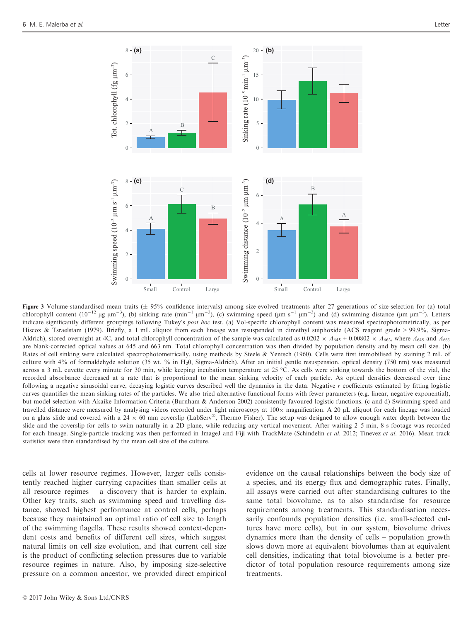

Figure 3 Volume-standardised mean traits  $(\pm 95\%$  confidence intervals) among size-evolved treatments after 27 generations of size-selection for (a) total chlorophyll content  $(10^{-12} \mu g \mu m^{-3})$ , (b) sinking rate  $(\text{min}^{-1} \mu m^{-3})$ , (c) swimming speed  $(\mu m s^{-1} \mu m^{-3})$  and (d) swimming distance  $(\mu m \mu m^{-3})$ . Letters indicate significantly different groupings following Tukey's post hoc test. (a) Vol-specific chlorophyll content was measured spectrophotometrically, as per Hiscox & Tsraelstam (1979). Briefly, a 1 mL aliquot from each lineage was resuspended in dimethyl suiphoxide (ACS reagent grade > 99.9%, Sigma-Aldrich), stored overnight at 4C, and total chlorophyll concentration of the sample was calculated as  $0.0202 \times A_{645} + 0.00802 \times A_{663}$ , where  $A_{645}$  and  $A_{663}$ are blank-corrected optical values at 645 and 663 nm. Total chlorophyll concentration was then divided by population density and by mean cell size. (b) Rates of cell sinking were calculated spectrophotometrically, using methods by Steele & Yentsch (1960). Cells were first immobilised by staining 2 mL of culture with 4% of formaldehyde solution (35 wt. % in H20, Sigma-Aldrich). After an initial gentle resuspension, optical density (750 nm) was measured across a 3 mL cuvette every minute for 30 min, while keeping incubation temperature at 25 °C. As cells were sinking towards the bottom of the vial, the recorded absorbance decreased at a rate that is proportional to the mean sinking velocity of each particle. As optical densities decreased over time following a negative sinusoidal curve, decaying logistic curves described well the dynamics in the data. Negative  $r$  coefficients estimated by fitting logistic curves quantifies the mean sinking rates of the particles. We also tried alternative functional forms with fewer parameters (e.g. linear, negative exponential), but model selection with Akaike Information Criteria (Burnham & Anderson 2002) consistently favoured logistic functions. (c and d) Swimming speed and travelled distance were measured by analysing videos recorded under light microscopy at  $100 \times$  magnification. A 20  $\mu$ L aliquot for each lineage was loaded on a glass slide and covered with a 24  $\times$  60 mm coverslip (LabServ®, Thermo Fisher). The setup was designed to allow enough water depth between the slide and the coverslip for cells to swim naturally in a 2D plane, while reducing any vertical movement. After waiting 2–5 min, 8 s footage was recorded for each lineage. Single-particle tracking was then performed in ImageJ and Fiji with TrackMate (Schindelin et al. 2012; Tinevez et al. 2016). Mean track statistics were then standardised by the mean cell size of the culture.

cells at lower resource regimes. However, larger cells consistently reached higher carrying capacities than smaller cells at all resource regimes – a discovery that is harder to explain. Other key traits, such as swimming speed and travelling distance, showed highest performance at control cells, perhaps because they maintained an optimal ratio of cell size to length of the swimming flagella. These results showed context-dependent costs and benefits of different cell sizes, which suggest natural limits on cell size evolution, and that current cell size is the product of conflicting selection pressures due to variable resource regimes in nature. Also, by imposing size-selective pressure on a common ancestor, we provided direct empirical

evidence on the causal relationships between the body size of a species, and its energy flux and demographic rates. Finally, all assays were carried out after standardising cultures to the same total biovolume, as to also standardise for resource requirements among treatments. This standardisation necessarily confounds population densities (i.e. small-selected cultures have more cells), but in our system, biovolume drives dynamics more than the density of cells – population growth slows down more at equivalent biovolumes than at equivalent cell densities, indicating that total biovolume is a better predictor of total population resource requirements among size treatments.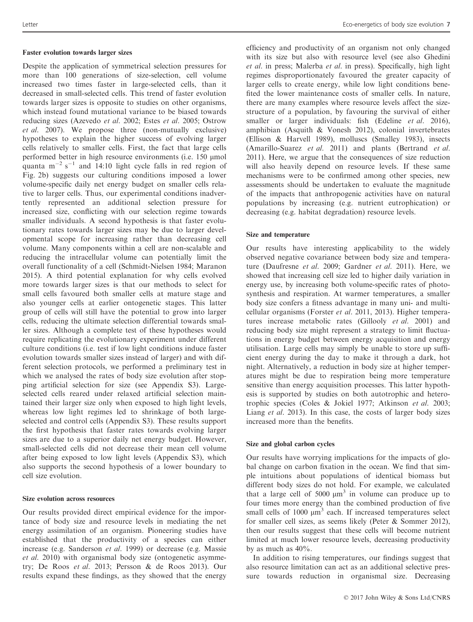#### Faster evolution towards larger sizes

Despite the application of symmetrical selection pressures for more than 100 generations of size-selection, cell volume increased two times faster in large-selected cells, than it decreased in small-selected cells. This trend of faster evolution towards larger sizes is opposite to studies on other organisms, which instead found mutational variance to be biased towards reducing sizes (Azevedo et al. 2002; Estes et al. 2005; Ostrow et al. 2007). We propose three (non-mutually exclusive) hypotheses to explain the higher success of evolving larger cells relatively to smaller cells. First, the fact that large cells performed better in high resource environments (i.e. 150 µmol quanta  $m^{-2}$  s<sup>-1</sup> and 14:10 light cycle falls in red region of Fig. 2b) suggests our culturing conditions imposed a lower volume-specific daily net energy budget on smaller cells relative to larger cells. Thus, our experimental conditions inadvertently represented an additional selection pressure for increased size, conflicting with our selection regime towards smaller individuals. A second hypothesis is that faster evolutionary rates towards larger sizes may be due to larger developmental scope for increasing rather than decreasing cell volume. Many components within a cell are non-scalable and reducing the intracellular volume can potentially limit the overall functionality of a cell (Schmidt-Nielsen 1984; Maranon 2015). A third potential explanation for why cells evolved more towards larger sizes is that our methods to select for small cells favoured both smaller cells at mature stage and also younger cells at earlier ontogenetic stages. This latter group of cells will still have the potential to grow into larger cells, reducing the ultimate selection differential towards smaller sizes. Although a complete test of these hypotheses would require replicating the evolutionary experiment under different culture conditions (i.e. test if low light conditions induce faster evolution towards smaller sizes instead of larger) and with different selection protocols, we performed a preliminary test in which we analysed the rates of body size evolution after stopping artificial selection for size (see Appendix S3). Largeselected cells reared under relaxed artificial selection maintained their larger size only when exposed to high light levels, whereas low light regimes led to shrinkage of both largeselected and control cells (Appendix S3). These results support the first hypothesis that faster rates towards evolving larger sizes are due to a superior daily net energy budget. However, small-selected cells did not decrease their mean cell volume after being exposed to low light levels (Appendix S3), which also supports the second hypothesis of a lower boundary to cell size evolution.

#### Size evolution across resources

Our results provided direct empirical evidence for the importance of body size and resource levels in mediating the net energy assimilation of an organism. Pioneering studies have established that the productivity of a species can either increase (e.g. Sanderson et al. 1999) or decrease (e.g. Massie et al. 2010) with organismal body size (ontogenetic asymmetry; De Roos et al. 2013; Persson & de Roos 2013). Our results expand these findings, as they showed that the energy efficiency and productivity of an organism not only changed with its size but also with resource level (see also Ghedini et al. in press; Malerba et al. in press). Specifically, high light regimes disproportionately favoured the greater capacity of larger cells to create energy, while low light conditions benefited the lower maintenance costs of smaller cells. In nature, there are many examples where resource levels affect the sizestructure of a population, by favouring the survival of either smaller or larger individuals: fish (Edeline et al. 2016), amphibian (Asquith & Vonesh 2012), colonial invertebrates (Ellison & Harvell 1989), molluscs (Smalley 1983), insects (Amarillo-Suarez et al. 2011) and plants (Bertrand et al. 2011). Here, we argue that the consequences of size reduction will also heavily depend on resource levels. If these same mechanisms were to be confirmed among other species, new assessments should be undertaken to evaluate the magnitude of the impacts that anthropogenic activities have on natural populations by increasing (e.g. nutrient eutrophication) or decreasing (e.g. habitat degradation) resource levels.

#### Size and temperature

Our results have interesting applicability to the widely observed negative covariance between body size and temperature (Daufresne et al. 2009; Gardner et al. 2011). Here, we showed that increasing cell size led to higher daily variation in energy use, by increasing both volume-specific rates of photosynthesis and respiration. At warmer temperatures, a smaller body size confers a fitness advantage in many uni- and multicellular organisms (Forster et al. 2011, 2013). Higher temperatures increase metabolic rates (Gillooly et al. 2001) and reducing body size might represent a strategy to limit fluctuations in energy budget between energy acquisition and energy utilisation. Large cells may simply be unable to store up sufficient energy during the day to make it through a dark, hot night. Alternatively, a reduction in body size at higher temperatures might be due to respiration being more temperature sensitive than energy acquisition processes. This latter hypothesis is supported by studies on both autotrophic and heterotrophic species (Coles & Jokiel 1977; Atkinson et al. 2003; Liang et al. 2013). In this case, the costs of larger body sizes increased more than the benefits.

#### Size and global carbon cycles

Our results have worrying implications for the impacts of global change on carbon fixation in the ocean. We find that simple intuitions about populations of identical biomass but different body sizes do not hold. For example, we calculated that a large cell of  $5000 \mu m^3$  in volume can produce up to four times more energy than the combined production of five small cells of  $1000 \mu m^3$  each. If increased temperatures select for smaller cell sizes, as seems likely (Peter & Sommer 2012), then our results suggest that these cells will become nutrient limited at much lower resource levels, decreasing productivity by as much as 40%.

In addition to rising temperatures, our findings suggest that also resource limitation can act as an additional selective pressure towards reduction in organismal size. Decreasing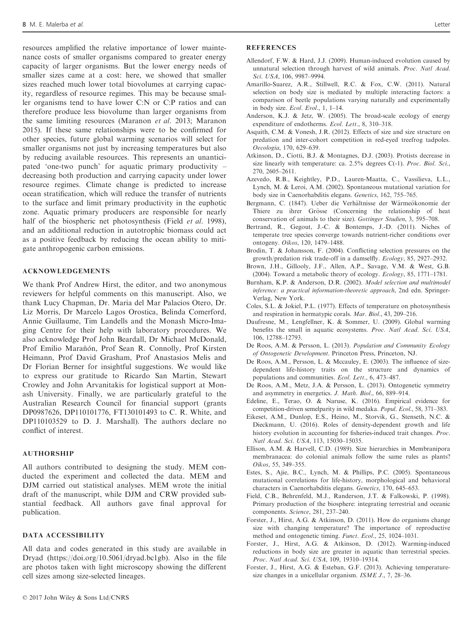resources amplified the relative importance of lower maintenance costs of smaller organisms compared to greater energy capacity of larger organisms. But the lower energy needs of smaller sizes came at a cost: here, we showed that smaller sizes reached much lower total biovolumes at carrying capacity, regardless of resource regimes. This may be because smaller organisms tend to have lower C:N or C:P ratios and can therefore produce less biovolume than larger organisms from the same limiting resources (Maranon et al. 2013; Maranon 2015). If these same relationships were to be confirmed for other species, future global warming scenarios will select for smaller organisms not just by increasing temperatures but also by reducing available resources. This represents an unanticipated 'one-two punch' for aquatic primary productivity – decreasing both production and carrying capacity under lower resource regimes. Climate change is predicted to increase ocean stratification, which will reduce the transfer of nutrients to the surface and limit primary productivity in the euphotic zone. Aquatic primary producers are responsible for nearly half of the biospheric net photosynthesis (Field et al. 1998), and an additional reduction in autotrophic biomass could act as a positive feedback by reducing the ocean ability to mitigate anthropogenic carbon emissions.

#### ACKNOWLEDGEMENTS

We thank Prof Andrew Hirst, the editor, and two anonymous reviewers for helpful comments on this manuscript. Also, we thank Lucy Chapman, Dr. Maria del Mar Palacios Otero, Dr. Liz Morris, Dr Marcelo Lagos Orostica, Belinda Comerford, Annie Guillaume, Tim Landells and the Monash Micro-Imaging Centre for their help with laboratory procedures. We also acknowledge Prof John Beardall, Dr Michael McDonald, Prof Emilio Marañón, Prof Sean R. Connolly, Prof Kirsten Heimann, Prof David Grasham, Prof Anastasios Melis and Dr Florian Berner for insightful suggestions. We would like to express our gratitude to Ricardo San Martin, Stewart Crowley and John Arvanitakis for logistical support at Monash University. Finally, we are particularly grateful to the Australian Research Council for financial support (grants DP0987626, DP110101776, FT130101493 to C. R. White, and DP110103529 to D. J. Marshall). The authors declare no conflict of interest.

#### AUTHORSHIP

All authors contributed to designing the study. MEM conducted the experiment and collected the data. MEM and DJM carried out statistical analyses. MEM wrote the initial draft of the manuscript, while DJM and CRW provided substantial feedback. All authors gave final approval for publication.

#### DATA ACCESSIBILITY

All data and codes generated in this study are available in Dryad (<https://doi.org/10.5061/dryad.bc1gb>). Also in the file are photos taken with light microscopy showing the different cell sizes among size-selected lineages.

#### **REFERENCES**

- Allendorf, F.W. & Hard, J.J. (2009). Human-induced evolution caused by unnatural selection through harvest of wild animals. Proc. Natl Acad. Sci. USA, 106, 9987–9994.
- Amarillo-Suarez, A.R., Stillwell, R.C. & Fox, C.W. (2011). Natural selection on body size is mediated by multiple interacting factors: a comparison of beetle populations varying naturally and experimentally in body size. Ecol. Evol., 1, 1–14.
- Anderson, K.J. & Jetz, W. (2005). The broad-scale ecology of energy expenditure of endotherms. Ecol. Lett., 8, 310–318.
- Asquith, C.M. & Vonesh, J.R. (2012). Effects of size and size structure on predation and inter-cohort competition in red-eyed treefrog tadpoles. Oecologia, 170, 629–639.
- Atkinson, D., Ciotti, B.J. & Montagnes, D.J. (2003). Protists decrease in size linearly with temperature: ca. 2.5% degrees C(-1). Proc. Biol. Sci., 270, 2605–2611.
- Azevedo, R.B., Keightley, P.D., Lauren-Maatta, C., Vassilieva, L.L., Lynch, M. & Leroi, A.M. (2002). Spontaneous mutational variation for body size in Caenorhabditis elegans. Genetics, 162, 755–765.
- Bergmann, C. (1847). Ueber die Verhältnisse der Wärmeökonomie der Thiere zu ihrer Grösse (Concerning the relationship of heat conservation of animals to their size). Gottinger Studien, 3, 595–708.
- Bertrand, R., Gegout, J.-C. & Bontemps, J.-D. (2011). Niches of temperate tree species converge towards nutrient-richer conditions over ontogeny. Oikos, 120, 1479–1488.
- Brodin, T. & Johansson, F. (2004). Conflicting selection pressures on the growth/predation risk trade-off in a damselfly. Ecology, 85, 2927–2932.
- Brown, J.H., Gillooly, J.F., Allen, A.P., Savage, V.M. & West, G.B. (2004). Toward a metabolic theory of ecology. Ecology, 85, 1771–1781.
- Burnham, K.P. & Anderson, D.R. (2002). Model selection and multimodel inference: a practical information-theoretic approach, 2nd edn. Springer-Verlag, New York.
- Coles, S.L. & Jokiel, P.L. (1977). Effects of temperature on photosynthesis and respiration in hermatypic corals. Mar. Biol., 43, 209–216.
- Daufresne, M., Lengfellner, K. & Sommer, U. (2009). Global warming benefits the small in aquatic ecosystems. Proc. Natl Acad. Sci. USA, 106, 12788–12793.
- De Roos, A.M. & Persson, L. (2013). Population and Community Ecology of Ontogenetic Development. Princeton Press, Princeton, NJ.
- De Roos, A.M., Persson, L. & Mccauley, E. (2003). The influence of sizedependent life-history traits on the structure and dynamics of populations and communities. Ecol. Lett., 6, 473–487.
- De Roos, A.M., Metz, J.A. & Persson, L. (2013). Ontogenetic symmetry and asymmetry in energetics. J. Math. Biol., 66, 889–914.
- Edeline, E., Terao, O. & Naruse, K. (2016). Empirical evidence for competition-driven semelparity in wild medaka. Popul. Ecol., 58, 371–383.
- Eikeset, A.M., Dunlop, E.S., Heino, M., Storvik, G., Stenseth, N.C. & Dieckmann, U. (2016). Roles of density-dependent growth and life history evolution in accounting for fisheries-induced trait changes. Proc. Natl Acad. Sci. USA, 113, 15030–15035.
- Ellison, A.M. & Harvell, C.D. (1989). Size hierarchies in Membranipora membranacea: do colonial animals follow the same rules as plants? Oikos, 55, 349–355.
- Estes, S., Ajie, B.C., Lynch, M. & Phillips, P.C. (2005). Spontaneous mutational correlations for life-history, morphological and behavioral characters in Caenorhabditis elegans. Genetics, 170, 645–653.
- Field, C.B., Behrenfeld, M.J., Randerson, J.T. & Falkowski, P. (1998). Primary production of the biosphere: integrating terrestrial and oceanic components. Science, 281, 237–240.
- Forster, J., Hirst, A.G. & Atkinson, D. (2011). How do organisms change size with changing temperature? The importance of reproductive method and ontogenetic timing. Funct. Ecol., 25, 1024–1031.
- Forster, J., Hirst, A.G. & Atkinson, D. (2012). Warming-induced reductions in body size are greater in aquatic than terrestrial species. Proc. Natl Acad. Sci. USA, 109, 19310–19314.
- Forster, J., Hirst, A.G. & Esteban, G.F. (2013). Achieving temperaturesize changes in a unicellular organism. ISME J., 7, 28–36.